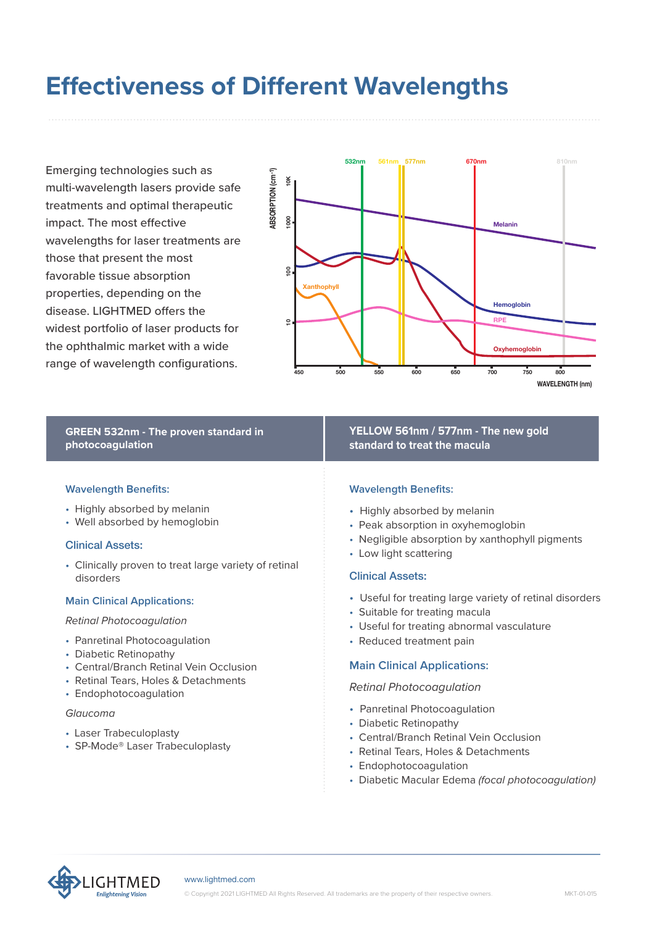# **Effectiveness of Different Wavelengths**

Emerging technologies such as multi-wavelength lasers provide safe treatments and optimal therapeutic impact. The most effective wavelengths for laser treatments are those that present the most favorable tissue absorption properties, depending on the disease. LIGHTMED offers the widest portfolio of laser products for the ophthalmic market with a wide range of wavelength configurations.



# **GREEN 532nm - The proven standard in photocoagulation**

#### **Wavelength Benefits:**

- Highly absorbed by melanin
- Well absorbed by hemoglobin

#### Clinical Assets:

• Clinically proven to treat large variety of retinal disorders

#### **Main Clinical Applications:**

#### *Retinal Photocoagulation*

- Panretinal Photocoagulation
- Diabetic Retinopathy
- Central/Branch Retinal Vein Occlusion
- Retinal Tears, Holes & Detachments
- Endophotocoagulation

#### *Glaucoma*

- Laser Trabeculoplasty
- SP-Mode® Laser Trabeculoplasty

**YELLOW 561nm / 577nm - The new gold standard to treat the macula**

#### **Wavelength Benefits:**

- Highly absorbed by melanin
- Peak absorption in oxyhemoglobin
- Negligible absorption by xanthophyll pigments
- Low light scattering

#### Clinical Assets:

- Useful for treating large variety of retinal disorders
- Suitable for treating macula
- Useful for treating abnormal vasculature
- Reduced treatment pain

#### **Main Clinical Applications:**

#### *Retinal Photocoagulation*

- Panretinal Photocoagulation
- Diabetic Retinopathy
- Central/Branch Retinal Vein Occlusion
- Retinal Tears, Holes & Detachments
- Endophotocoagulation
- Diabetic Macular Edema *(focal photocoagulation)*